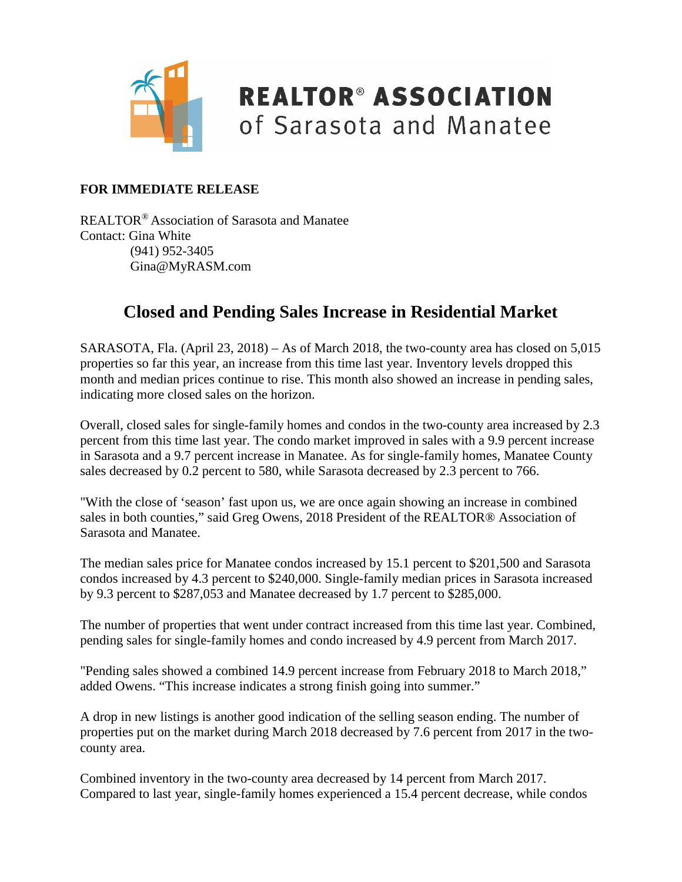

### **REALTOR® ASSOCIATION** of Sarasota and Manatee

#### **FOR IMMEDIATE RELEASE**

REALTOR® Association of Sarasota and Manatee Contact: Gina White (941) 952-3405 Gina@MyRASM.com

#### **Closed and Pending Sales Increase in Residential Market**

SARASOTA, Fla. (April 23, 2018) – As of March 2018, the two-county area has closed on 5,015 properties so far this year, an increase from this time last year. Inventory levels dropped this month and median prices continue to rise. This month also showed an increase in pending sales, indicating more closed sales on the horizon.

Overall, closed sales for single-family homes and condos in the two-county area increased by 2.3 percent from this time last year. The condo market improved in sales with a 9.9 percent increase in Sarasota and a 9.7 percent increase in Manatee. As for single-family homes, Manatee County sales decreased by 0.2 percent to 580, while Sarasota decreased by 2.3 percent to 766.

"With the close of 'season' fast upon us, we are once again showing an increase in combined sales in both counties," said Greg Owens, 2018 President of the REALTOR® Association of Sarasota and Manatee.

The median sales price for Manatee condos increased by 15.1 percent to \$201,500 and Sarasota condos increased by 4.3 percent to \$240,000. Single-family median prices in Sarasota increased by 9.3 percent to \$287,053 and Manatee decreased by 1.7 percent to \$285,000.

The number of properties that went under contract increased from this time last year. Combined, pending sales for single-family homes and condo increased by 4.9 percent from March 2017.

"Pending sales showed a combined 14.9 percent increase from February 2018 to March 2018," added Owens. "This increase indicates a strong finish going into summer."

A drop in new listings is another good indication of the selling season ending. The number of properties put on the market during March 2018 decreased by 7.6 percent from 2017 in the twocounty area.

Combined inventory in the two-county area decreased by 14 percent from March 2017. Compared to last year, single-family homes experienced a 15.4 percent decrease, while condos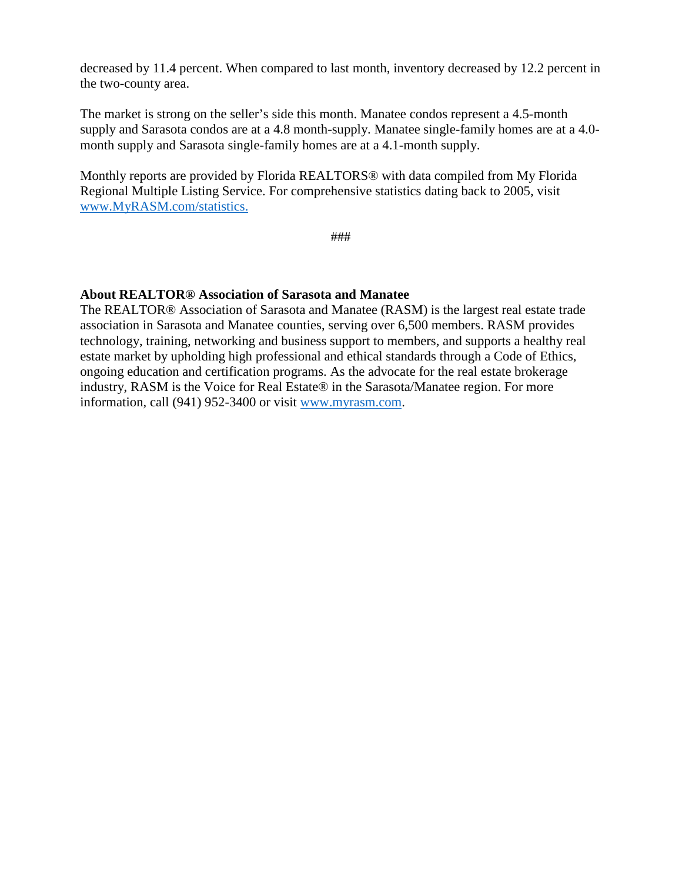decreased by 11.4 percent. When compared to last month, inventory decreased by 12.2 percent in the two-county area.

The market is strong on the seller's side this month. Manatee condos represent a 4.5-month supply and Sarasota condos are at a 4.8 month-supply. Manatee single-family homes are at a 4.0 month supply and Sarasota single-family homes are at a 4.1-month supply.

Monthly reports are provided by Florida REALTORS® with data compiled from My Florida Regional Multiple Listing Service. For comprehensive statistics dating back to 2005, visit [www.MyRASM.com/statistics.](http://www.myrasm.com/statistics)

###

#### **About REALTOR® Association of Sarasota and Manatee**

The REALTOR® Association of Sarasota and Manatee (RASM) is the largest real estate trade association in Sarasota and Manatee counties, serving over 6,500 members. RASM provides technology, training, networking and business support to members, and supports a healthy real estate market by upholding high professional and ethical standards through a Code of Ethics, ongoing education and certification programs. As the advocate for the real estate brokerage industry, RASM is the Voice for Real Estate® in the Sarasota/Manatee region. For more information, call (941) 952-3400 or visit [www.myrasm.com.](http://www.myrasm.com/)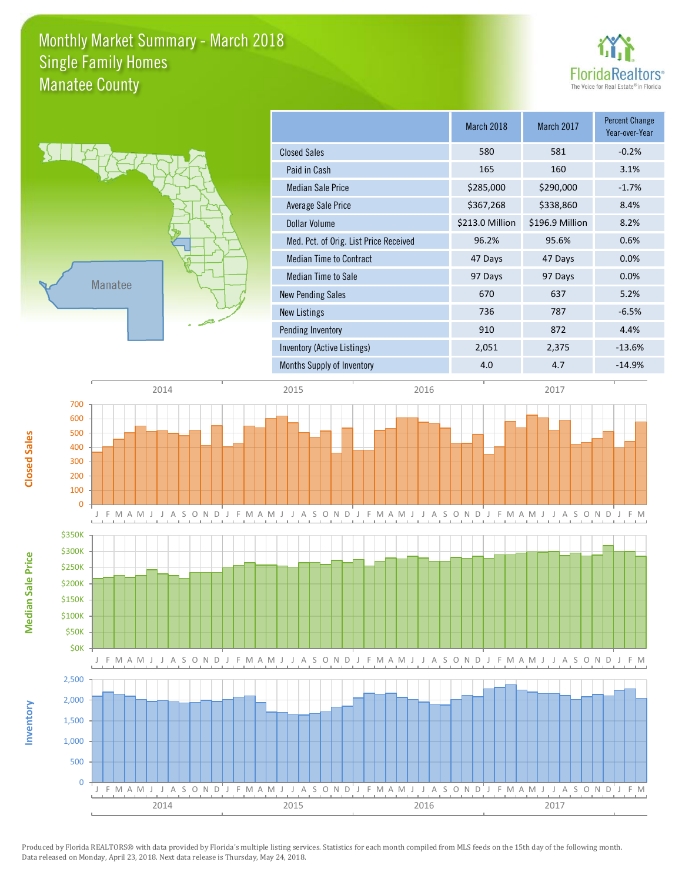### Monthly Market Summary - March 2018 Manatee County Single Family Homes



**Percent Change** 



|                                        | March 2018      | March 2017      | Year-over-Year |
|----------------------------------------|-----------------|-----------------|----------------|
| <b>Closed Sales</b>                    | 580             | 581             | $-0.2%$        |
| Paid in Cash                           | 165             | 160             | 3.1%           |
| <b>Median Sale Price</b>               | \$285,000       | \$290,000       | $-1.7%$        |
| <b>Average Sale Price</b>              | \$367,268       | \$338,860       | 8.4%           |
| <b>Dollar Volume</b>                   | \$213.0 Million | \$196.9 Million | 8.2%           |
| Med. Pct. of Orig. List Price Received | 96.2%           | 95.6%           | 0.6%           |
| <b>Median Time to Contract</b>         | 47 Days         | 47 Days         | 0.0%           |
| <b>Median Time to Sale</b>             | 97 Days         | 97 Days         | 0.0%           |
| <b>New Pending Sales</b>               | 670             | 637             | 5.2%           |
| <b>New Listings</b>                    | 736             | 787             | $-6.5%$        |
| Pending Inventory                      | 910             | 872             | 4.4%           |
| Inventory (Active Listings)            | 2,051           | 2,375           | $-13.6%$       |
| Months Supply of Inventory             | 4.0             | 4.7             | $-14.9%$       |
|                                        |                 |                 |                |



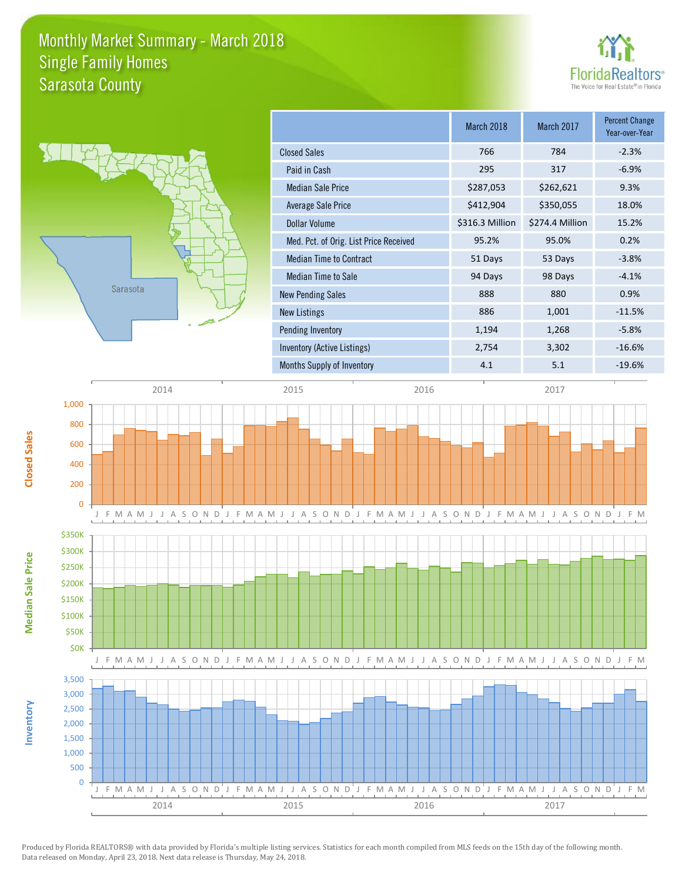### Monthly Market Summary - March 2018 Sarasota County Single Family Homes





|                                        | March 2018      | March 2017      | <b>Percent Change</b><br>Year-over-Year |
|----------------------------------------|-----------------|-----------------|-----------------------------------------|
| <b>Closed Sales</b>                    | 766             | 784             | $-2.3%$                                 |
| Paid in Cash                           | 295             | 317             | $-6.9%$                                 |
| <b>Median Sale Price</b>               | \$287,053       | \$262,621       | 9.3%                                    |
| Average Sale Price                     | \$412,904       | \$350,055       | 18.0%                                   |
| <b>Dollar Volume</b>                   | \$316.3 Million | \$274.4 Million | 15.2%                                   |
| Med. Pct. of Orig. List Price Received | 95.2%           | 95.0%           | 0.2%                                    |
| Median Time to Contract                | 51 Days         | 53 Days         | $-3.8%$                                 |
| <b>Median Time to Sale</b>             | 94 Days         | 98 Days         | $-4.1%$                                 |
| <b>New Pending Sales</b>               | 888             | 880             | 0.9%                                    |
| New Listings                           | 886             | 1,001           | $-11.5%$                                |
| Pending Inventory                      | 1,194           | 1,268           | $-5.8%$                                 |
| Inventory (Active Listings)            | 2,754           | 3,302           | $-16.6%$                                |
| Months Supply of Inventory             | 4.1             | 5.1             | $-19.6%$                                |





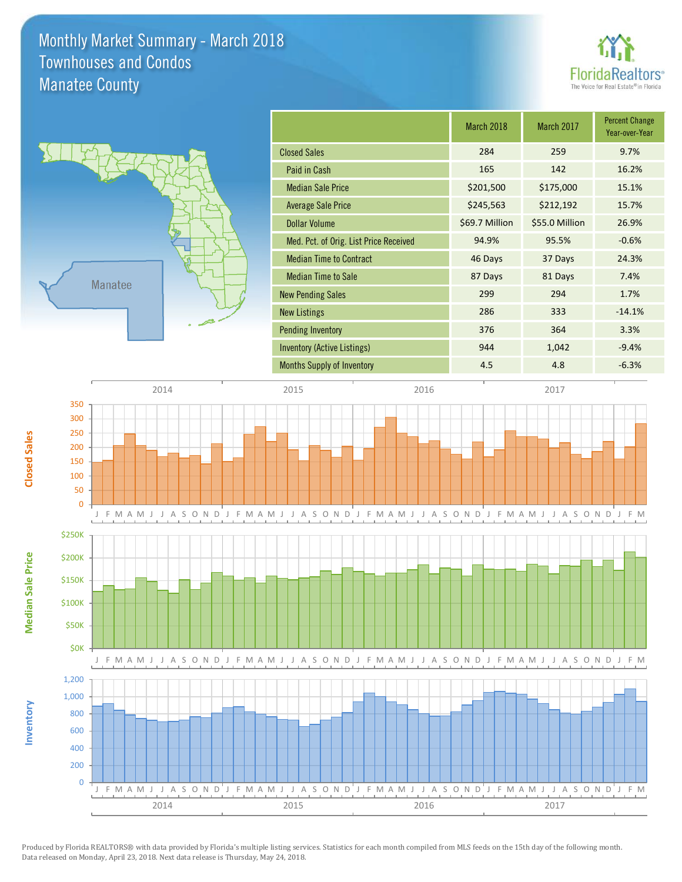### Monthly Market Summary - March 2018 Manatee County Townhouses and Condos





**Median Sale Price**

**Median Sale Price** 

**Closed Sales**

**Inventory**

|                                        | March 2018     | March 2017     | <b>Percent Change</b><br>Year-over-Year |
|----------------------------------------|----------------|----------------|-----------------------------------------|
| <b>Closed Sales</b>                    | 284            | 259            | 9.7%                                    |
| Paid in Cash                           | 165            | 142            | 16.2%                                   |
| <b>Median Sale Price</b>               | \$201,500      | \$175,000      | 15.1%                                   |
| <b>Average Sale Price</b>              | \$245,563      | \$212,192      | 15.7%                                   |
| <b>Dollar Volume</b>                   | \$69.7 Million | \$55.0 Million | 26.9%                                   |
| Med. Pct. of Orig. List Price Received | 94.9%          | 95.5%          | $-0.6%$                                 |
| <b>Median Time to Contract</b>         | 46 Days        | 37 Days        | 24.3%                                   |
| <b>Median Time to Sale</b>             | 87 Days        | 81 Days        | 7.4%                                    |
| <b>New Pending Sales</b>               | 299            | 294            | 1.7%                                    |
| <b>New Listings</b>                    | 286            | 333            | $-14.1%$                                |
| <b>Pending Inventory</b>               | 376            | 364            | 3.3%                                    |
| Inventory (Active Listings)            | 944            | 1,042          | $-9.4%$                                 |
| <b>Months Supply of Inventory</b>      | 4.5            | 4.8            | $-6.3%$                                 |
|                                        |                |                |                                         |

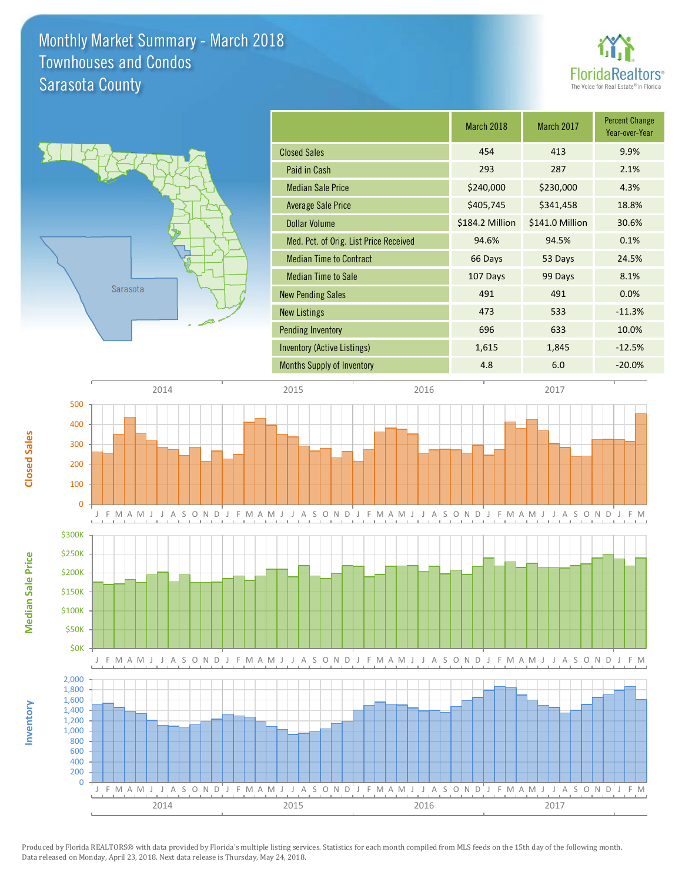### Monthly Market Summary - March 2018 Sarasota County Townhouses and Condos





| March 2018      | March 2017      | <b>Percent Change</b><br>Year-over-Year |
|-----------------|-----------------|-----------------------------------------|
| 454             | 413             | 9.9%                                    |
| 293             | 287             | 2.1%                                    |
| \$240,000       | \$230,000       | 4.3%                                    |
| \$405,745       | \$341,458       | 18.8%                                   |
| \$184.2 Million | \$141.0 Million | 30.6%                                   |
| 94.6%           | 94.5%           | 0.1%                                    |
| 66 Days         | 53 Days         | 24.5%                                   |
| 107 Days        | 99 Days         | 8.1%                                    |
| 491             | 491             | 0.0%                                    |
| 473             | 533             | $-11.3%$                                |
| 696             | 633             | 10.0%                                   |
| 1,615           | 1,845           | $-12.5%$                                |
| 4.8             | 6.0             | $-20.0%$                                |
|                 |                 |                                         |



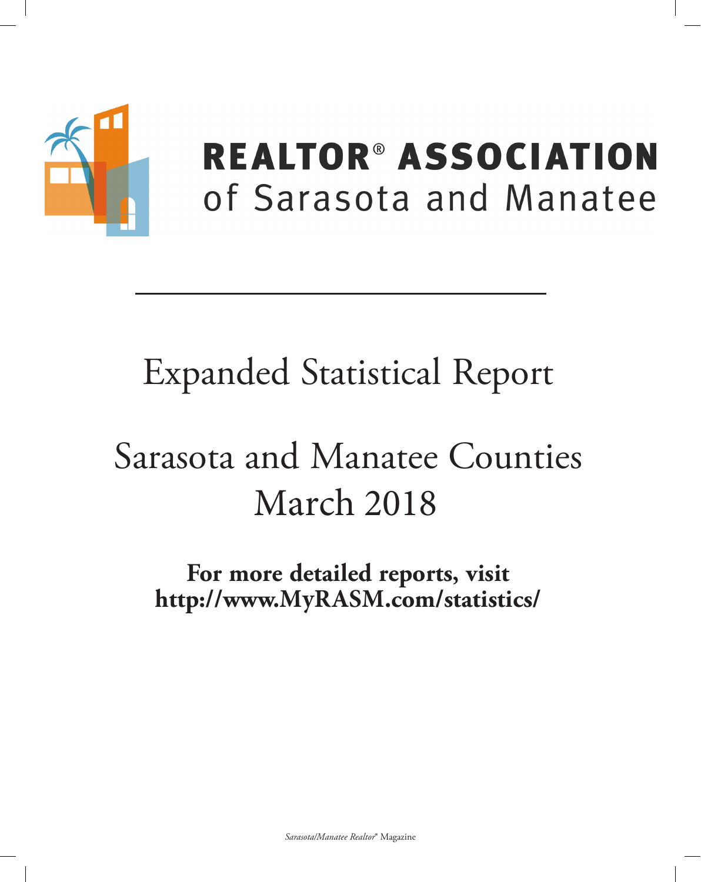

## **REALTOR® ASSOCIATION** of Sarasota and Manatee

# **Expanded Statistical Report**

# Sarasota and Manatee Counties March 2018

For more detailed reports, visit http://www.MyRASM.com/statistics/

Sarasota/Manatee Realtor® Magazine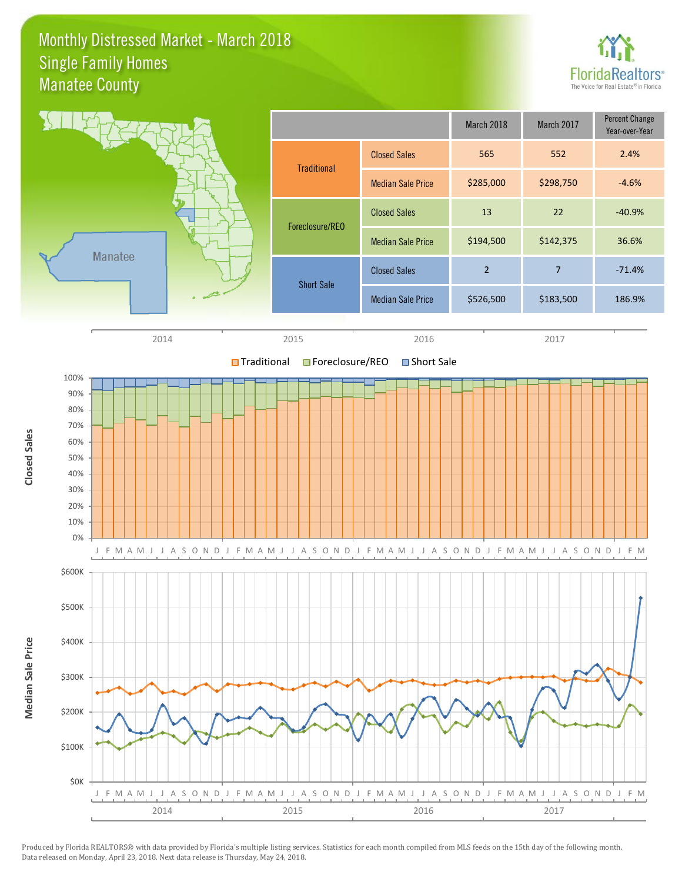#### Monthly Distressed Market - March 2018 Manatee County Single Family Homes



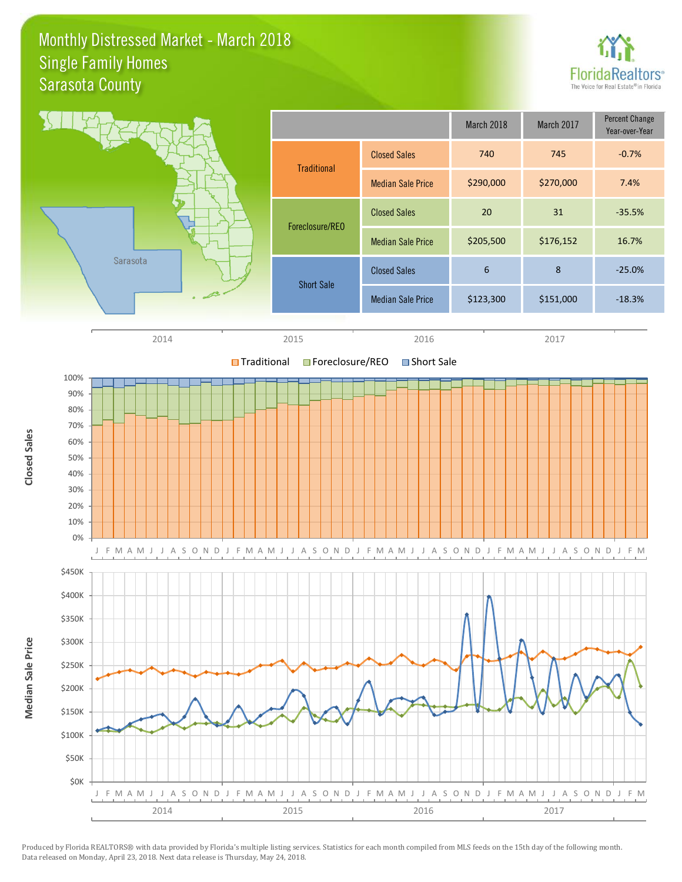### Monthly Distressed Market - March 2018 Sarasota County Single Family Homes



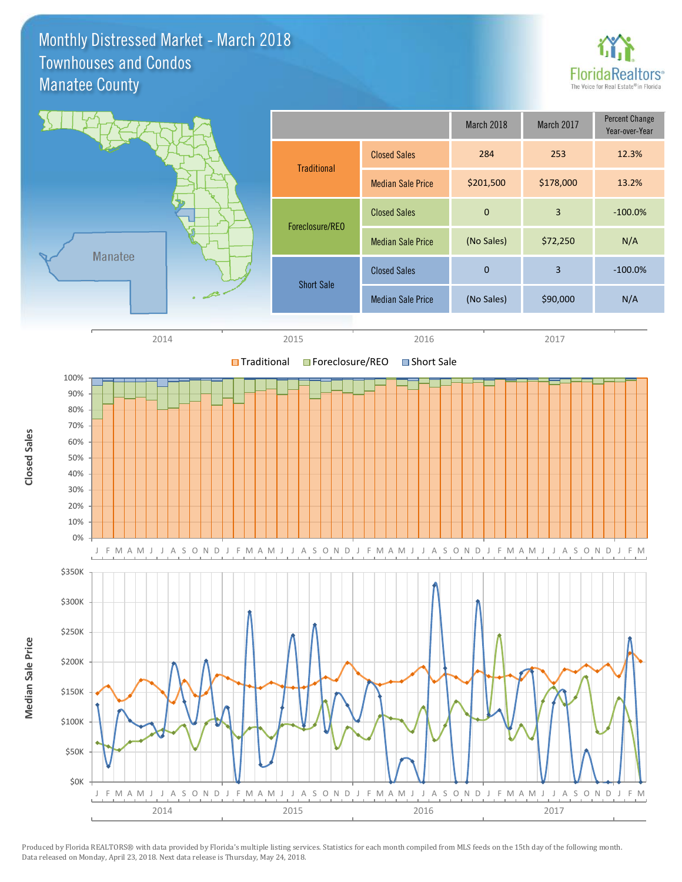Monthly Distressed Market - March 2018 Manatee County Townhouses and Condos